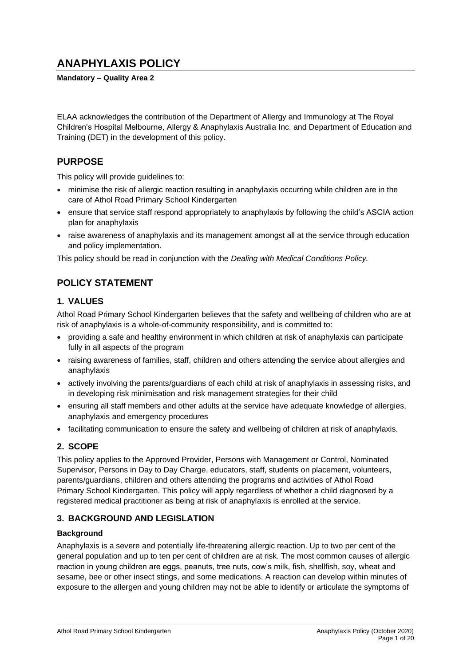# **ANAPHYLAXIS POLICY**

**Mandatory – Quality Area 2**

ELAA acknowledges the contribution of the Department of Allergy and Immunology at The Royal Children's Hospital Melbourne, Allergy & Anaphylaxis Australia Inc. and Department of Education and Training (DET) in the development of this policy.

### **PURPOSE**

This policy will provide guidelines to:

- minimise the risk of allergic reaction resulting in anaphylaxis occurring while children are in the care of Athol Road Primary School Kindergarten
- ensure that service staff respond appropriately to anaphylaxis by following the child's ASCIA action plan for anaphylaxis
- raise awareness of anaphylaxis and its management amongst all at the service through education and policy implementation.

This policy should be read in conjunction with the *Dealing with Medical Conditions Policy.*

# **POLICY STATEMENT**

### **1. VALUES**

Athol Road Primary School Kindergarten believes that the safety and wellbeing of children who are at risk of anaphylaxis is a whole-of-community responsibility, and is committed to:

- providing a safe and healthy environment in which children at risk of anaphylaxis can participate fully in all aspects of the program
- raising awareness of families, staff, children and others attending the service about allergies and anaphylaxis
- actively involving the parents/guardians of each child at risk of anaphylaxis in assessing risks, and in developing risk minimisation and risk management strategies for their child
- ensuring all staff members and other adults at the service have adequate knowledge of allergies, anaphylaxis and emergency procedures
- facilitating communication to ensure the safety and wellbeing of children at risk of anaphylaxis.

### **2. SCOPE**

This policy applies to the Approved Provider, Persons with Management or Control, Nominated Supervisor, Persons in Day to Day Charge, educators, staff, students on placement, volunteers, parents/guardians, children and others attending the programs and activities of Athol Road Primary School Kindergarten. This policy will apply regardless of whether a child diagnosed by a registered medical practitioner as being at risk of anaphylaxis is enrolled at the service.

### **3. BACKGROUND AND LEGISLATION**

#### **Background**

Anaphylaxis is a severe and potentially life-threatening allergic reaction. Up to two per cent of the general population and up to ten per cent of children are at risk. The most common causes of allergic reaction in young children are eggs, peanuts, tree nuts, cow's milk, fish, shellfish, soy, wheat and sesame, bee or other insect stings, and some medications. A reaction can develop within minutes of exposure to the allergen and young children may not be able to identify or articulate the symptoms of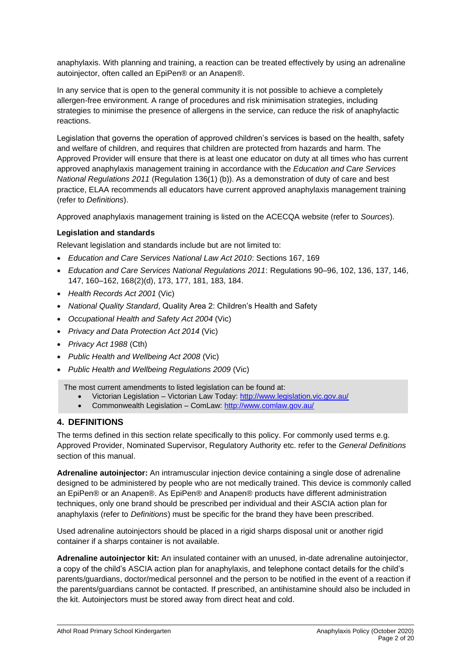anaphylaxis. With planning and training, a reaction can be treated effectively by using an adrenaline autoinjector, often called an EpiPen® or an Anapen®.

In any service that is open to the general community it is not possible to achieve a completely allergen-free environment. A range of procedures and risk minimisation strategies, including strategies to minimise the presence of allergens in the service, can reduce the risk of anaphylactic reactions.

Legislation that governs the operation of approved children's services is based on the health, safety and welfare of children, and requires that children are protected from hazards and harm. The Approved Provider will ensure that there is at least one educator on duty at all times who has current approved anaphylaxis management training in accordance with the *Education and Care Services National Regulations 2011* (Regulation 136(1) (b)). As a demonstration of duty of care and best practice, ELAA recommends all educators have current approved anaphylaxis management training (refer to *Definitions*).

Approved anaphylaxis management training is listed on the ACECQA website (refer to *Sources*).

#### **Legislation and standards**

Relevant legislation and standards include but are not limited to:

- *Education and Care Services National Law Act 2010*: Sections 167, 169
- *Education and Care Services National Regulations 2011*: Regulations 90–96, 102, 136, 137, 146, 147, 160–162, 168(2)(d), 173, 177, 181, 183, 184.
- *Health Records Act 2001* (Vic)
- *National Quality Standard*, Quality Area 2: Children's Health and Safety
- *Occupational Health and Safety Act 2004* (Vic)
- *Privacy and Data Protection Act 2014* (Vic)
- *Privacy Act 1988* (Cth)
- *Public Health and Wellbeing Act 2008* (Vic)
- *Public Health and Wellbeing Regulations 2009* (Vic)

The most current amendments to listed legislation can be found at:

- Victorian Legislation Victorian Law Today:<http://www.legislation.vic.gov.au/>
- Commonwealth Legislation ComLaw:<http://www.comlaw.gov.au/>

#### **4. DEFINITIONS**

The terms defined in this section relate specifically to this policy. For commonly used terms e.g. Approved Provider, Nominated Supervisor, Regulatory Authority etc. refer to the *General Definitions* section of this manual.

**Adrenaline autoinjector:** An intramuscular injection device containing a single dose of adrenaline designed to be administered by people who are not medically trained. This device is commonly called an EpiPen® or an Anapen®. As EpiPen® and Anapen® products have different administration techniques, only one brand should be prescribed per individual and their ASCIA action plan for anaphylaxis (refer to *Definitions*) must be specific for the brand they have been prescribed.

Used adrenaline autoinjectors should be placed in a rigid sharps disposal unit or another rigid container if a sharps container is not available.

**Adrenaline autoinjector kit:** An insulated container with an unused, in-date adrenaline autoinjector, a copy of the child's ASCIA action plan for anaphylaxis, and telephone contact details for the child's parents/guardians, doctor/medical personnel and the person to be notified in the event of a reaction if the parents/guardians cannot be contacted. If prescribed, an antihistamine should also be included in the kit. Autoinjectors must be stored away from direct heat and cold.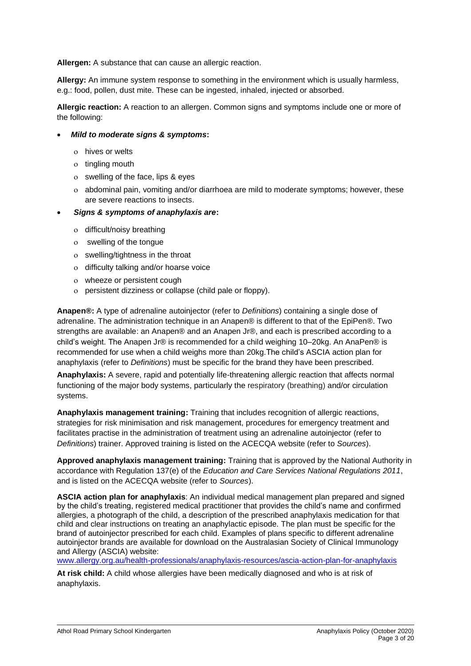**Allergen:** A substance that can cause an allergic reaction.

**Allergy:** An immune system response to something in the environment which is usually harmless, e.g.: food, pollen, dust mite. These can be ingested, inhaled, injected or absorbed.

**Allergic reaction:** A reaction to an allergen. Common signs and symptoms include one or more of the following:

#### • *Mild to moderate signs & symptoms***:**

- hives or welts
- o tingling mouth
- swelling of the face, lips & eyes
- abdominal pain, vomiting and/or diarrhoea are mild to moderate symptoms; however, these are severe reactions to insects.
- *Signs & symptoms of anaphylaxis are***:**
	- o difficult/noisy breathing
	- swelling of the tongue
	- swelling/tightness in the throat
	- o difficulty talking and/or hoarse voice
	- wheeze or persistent cough
	- persistent dizziness or collapse (child pale or floppy).

**Anapen®:** A type of adrenaline autoinjector (refer to *Definitions*) containing a single dose of adrenaline. The administration technique in an Anapen® is different to that of the EpiPen®. Two strengths are available: an Anapen® and an Anapen Jr®, and each is prescribed according to a child's weight. The Anapen Jr® is recommended for a child weighing 10–20kg. An AnaPen® is recommended for use when a child weighs more than 20kg.The child's ASCIA action plan for anaphylaxis (refer to *Definitions*) must be specific for the brand they have been prescribed.

**Anaphylaxis:** A severe, rapid and potentially life-threatening allergic reaction that affects normal functioning of the major body systems, particularly the respiratory (breathing) and/or circulation systems.

**Anaphylaxis management training:** Training that includes recognition of allergic reactions, strategies for risk minimisation and risk management, procedures for emergency treatment and facilitates practise in the administration of treatment using an adrenaline autoinjector (refer to *Definitions*) trainer. Approved training is listed on the ACECQA website (refer to *Sources*).

**Approved anaphylaxis management training:** Training that is approved by the National Authority in accordance with Regulation 137(e) of the *Education and Care Services National Regulations 2011*, and is listed on the ACECQA website (refer to *Sources*).

**ASCIA action plan for anaphylaxis**: An individual medical management plan prepared and signed by the child's treating, registered medical practitioner that provides the child's name and confirmed allergies, a photograph of the child, a description of the prescribed anaphylaxis medication for that child and clear instructions on treating an anaphylactic episode. The plan must be specific for the brand of autoinjector prescribed for each child. Examples of plans specific to different adrenaline autoinjector brands are available for download on the Australasian Society of Clinical Immunology and Allergy (ASCIA) website:

[www.allergy.org.au/health-professionals/anaphylaxis-resources/ascia-action-plan-for-anaphylaxis](http://www.allergy.org.au/health-professionals/anaphylaxis-resources/ascia-action-plan-for-anaphylaxis)

**At risk child:** A child whose allergies have been medically diagnosed and who is at risk of anaphylaxis.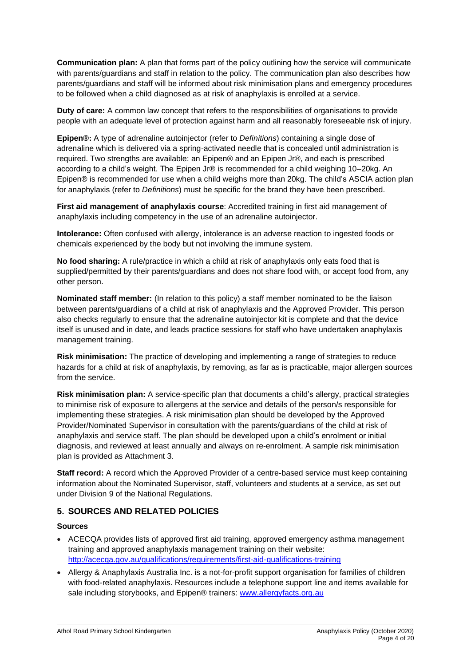**Communication plan:** A plan that forms part of the policy outlining how the service will communicate with parents/guardians and staff in relation to the policy. The communication plan also describes how parents/guardians and staff will be informed about risk minimisation plans and emergency procedures to be followed when a child diagnosed as at risk of anaphylaxis is enrolled at a service.

**Duty of care:** A common law concept that refers to the responsibilities of organisations to provide people with an adequate level of protection against harm and all reasonably foreseeable risk of injury.

**Epipen®:** A type of adrenaline autoinjector (refer to *Definitions*) containing a single dose of adrenaline which is delivered via a spring-activated needle that is concealed until administration is required. Two strengths are available: an Epipen® and an Epipen Jr®, and each is prescribed according to a child's weight. The Epipen Jr® is recommended for a child weighing 10–20kg. An Epipen® is recommended for use when a child weighs more than 20kg. The child's ASCIA action plan for anaphylaxis (refer to *Definitions*) must be specific for the brand they have been prescribed.

**First aid management of anaphylaxis course**: Accredited training in first aid management of anaphylaxis including competency in the use of an adrenaline autoinjector.

**Intolerance:** Often confused with allergy, intolerance is an adverse reaction to ingested foods or chemicals experienced by the body but not involving the immune system.

**No food sharing:** A rule/practice in which a child at risk of anaphylaxis only eats food that is supplied/permitted by their parents/guardians and does not share food with, or accept food from, any other person.

**Nominated staff member:** (In relation to this policy) a staff member nominated to be the liaison between parents/guardians of a child at risk of anaphylaxis and the Approved Provider. This person also checks regularly to ensure that the adrenaline autoinjector kit is complete and that the device itself is unused and in date, and leads practice sessions for staff who have undertaken anaphylaxis management training.

**Risk minimisation:** The practice of developing and implementing a range of strategies to reduce hazards for a child at risk of anaphylaxis, by removing, as far as is practicable, major allergen sources from the service.

**Risk minimisation plan:** A service-specific plan that documents a child's allergy, practical strategies to minimise risk of exposure to allergens at the service and details of the person/s responsible for implementing these strategies. A risk minimisation plan should be developed by the Approved Provider/Nominated Supervisor in consultation with the parents/guardians of the child at risk of anaphylaxis and service staff. The plan should be developed upon a child's enrolment or initial diagnosis, and reviewed at least annually and always on re-enrolment. A sample risk minimisation plan is provided as Attachment 3.

**Staff record:** A record which the Approved Provider of a centre-based service must keep containing information about the Nominated Supervisor, staff, volunteers and students at a service, as set out under Division 9 of the National Regulations.

#### **5. SOURCES AND RELATED POLICIES**

#### **Sources**

- ACECQA provides lists of approved first aid training, approved emergency asthma management training and approved anaphylaxis management training on their website: <http://acecqa.gov.au/qualifications/requirements/first-aid-qualifications-training>
- Allergy & Anaphylaxis Australia Inc. is a not-for-profit support organisation for families of children with food-related anaphylaxis. Resources include a telephone support line and items available for sale including storybooks, and Epipen® trainers: [www.allergyfacts.org.au](http://www.allergyfacts.org.au/)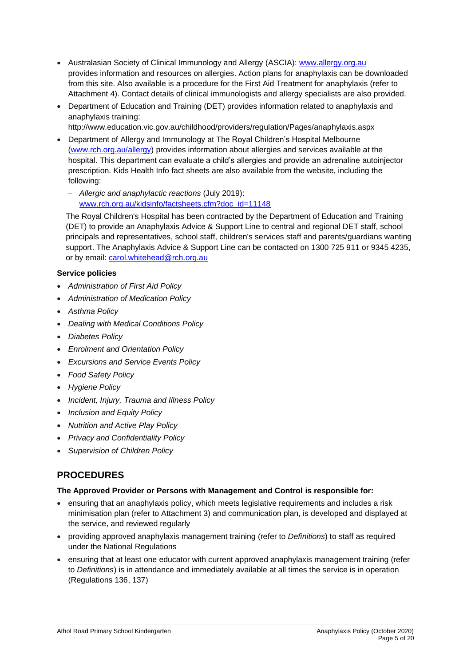- Australasian Society of Clinical Immunology and Allergy (ASCIA): [www.allergy.org.au](http://www.allergy.org.au/) provides information and resources on allergies. Action plans for anaphylaxis can be downloaded from this site. Also available is a procedure for the First Aid Treatment for anaphylaxis (refer to Attachment 4). Contact details of clinical immunologists and allergy specialists are also provided.
- Department of Education and Training (DET) provides information related to anaphylaxis and anaphylaxis training:

http://www.education.vic.gov.au/childhood/providers/regulation/Pages/anaphylaxis.aspx

• Department of Allergy and Immunology at The Royal Children's Hospital Melbourne [\(www.rch.org.au/allergy\)](http://www.rch.org.au/allergy) provides information about allergies and services available at the hospital. This department can evaluate a child's allergies and provide an adrenaline autoinjector prescription. Kids Health Info fact sheets are also available from the website, including the following:

− *Allergic and anaphylactic reactions* (July 2019): [www.rch.org.au/kidsinfo/factsheets.cfm?doc\\_id=11148](http://www.rch.org.au/kidsinfo/factsheets.cfm?doc_id=11148)

The Royal Children's Hospital has been contracted by the Department of Education and Training (DET) to provide an Anaphylaxis Advice & Support Line to central and regional DET staff, school principals and representatives, school staff, children's services staff and parents/guardians wanting support. The Anaphylaxis Advice & Support Line can be contacted on 1300 725 911 or 9345 4235, or by email: [carol.whitehead@rch.org.au](mailto:carol.whitehead@rch.org.au)

#### **Service policies**

- *Administration of First Aid Policy*
- *Administration of Medication Policy*
- *Asthma Policy*
- *Dealing with Medical Conditions Policy*
- *Diabetes Policy*
- *Enrolment and Orientation Policy*
- *Excursions and Service Events Policy*
- *Food Safety Policy*
- *Hygiene Policy*
- *Incident, Injury, Trauma and Illness Policy*
- *Inclusion and Equity Policy*
- *Nutrition and Active Play Policy*
- *Privacy and Confidentiality Policy*
- *Supervision of Children Policy*

### **PROCEDURES**

#### **The Approved Provider or Persons with Management and Control is responsible for:**

- ensuring that an anaphylaxis policy, which meets legislative requirements and includes a risk minimisation plan (refer to Attachment 3) and communication plan, is developed and displayed at the service, and reviewed regularly
- providing approved anaphylaxis management training (refer to *Definitions*) to staff as required under the National Regulations
- ensuring that at least one educator with current approved anaphylaxis management training (refer to *Definitions*) is in attendance and immediately available at all times the service is in operation (Regulations 136, 137)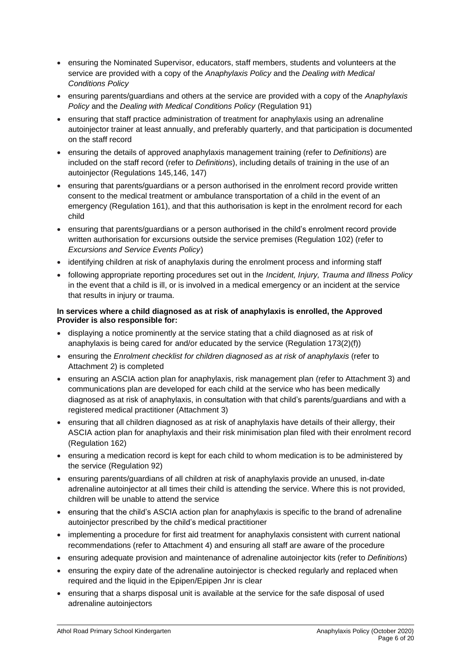- ensuring the Nominated Supervisor, educators, staff members, students and volunteers at the service are provided with a copy of the *Anaphylaxis Policy* and the *Dealing with Medical Conditions Policy*
- ensuring parents/guardians and others at the service are provided with a copy of the *Anaphylaxis Policy* and the *Dealing with Medical Conditions Policy* (Regulation 91)
- ensuring that staff practice administration of treatment for anaphylaxis using an adrenaline autoinjector trainer at least annually, and preferably quarterly, and that participation is documented on the staff record
- ensuring the details of approved anaphylaxis management training (refer to *Definitions*) are included on the staff record (refer to *Definitions*), including details of training in the use of an autoinjector (Regulations 145,146, 147)
- ensuring that parents/guardians or a person authorised in the enrolment record provide written consent to the medical treatment or ambulance transportation of a child in the event of an emergency (Regulation 161), and that this authorisation is kept in the enrolment record for each child
- ensuring that parents/guardians or a person authorised in the child's enrolment record provide written authorisation for excursions outside the service premises (Regulation 102) (refer to *Excursions and Service Events Policy*)
- identifying children at risk of anaphylaxis during the enrolment process and informing staff
- following appropriate reporting procedures set out in the *Incident, Injury, Trauma and Illness Policy* in the event that a child is ill, or is involved in a medical emergency or an incident at the service that results in injury or trauma.

#### **In services where a child diagnosed as at risk of anaphylaxis is enrolled, the Approved Provider is also responsible for:**

- displaying a notice prominently at the service stating that a child diagnosed as at risk of anaphylaxis is being cared for and/or educated by the service (Regulation 173(2)(f))
- ensuring the *Enrolment checklist for children diagnosed as at risk of anaphylaxis* (refer to Attachment 2) is completed
- ensuring an ASCIA action plan for anaphylaxis, risk management plan (refer to Attachment 3) and communications plan are developed for each child at the service who has been medically diagnosed as at risk of anaphylaxis, in consultation with that child's parents/guardians and with a registered medical practitioner (Attachment 3)
- ensuring that all children diagnosed as at risk of anaphylaxis have details of their allergy, their ASCIA action plan for anaphylaxis and their risk minimisation plan filed with their enrolment record (Regulation 162)
- ensuring a medication record is kept for each child to whom medication is to be administered by the service (Regulation 92)
- ensuring parents/guardians of all children at risk of anaphylaxis provide an unused, in-date adrenaline autoinjector at all times their child is attending the service. Where this is not provided, children will be unable to attend the service
- ensuring that the child's ASCIA action plan for anaphylaxis is specific to the brand of adrenaline autoinjector prescribed by the child's medical practitioner
- implementing a procedure for first aid treatment for anaphylaxis consistent with current national recommendations (refer to Attachment 4) and ensuring all staff are aware of the procedure
- ensuring adequate provision and maintenance of adrenaline autoinjector kits (refer to *Definitions*)
- ensuring the expiry date of the adrenaline autoinjector is checked regularly and replaced when required and the liquid in the Epipen/Epipen Jnr is clear
- ensuring that a sharps disposal unit is available at the service for the safe disposal of used adrenaline autoinjectors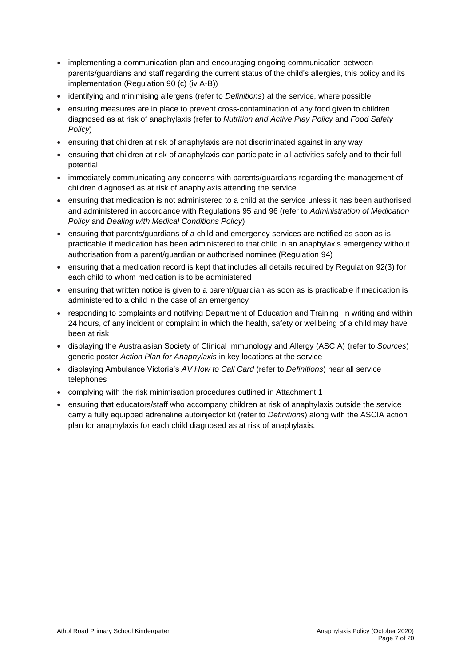- implementing a communication plan and encouraging ongoing communication between parents/guardians and staff regarding the current status of the child's allergies, this policy and its implementation (Regulation 90 (c) (iv A-B))
- identifying and minimising allergens (refer to *Definitions*) at the service, where possible
- ensuring measures are in place to prevent cross-contamination of any food given to children diagnosed as at risk of anaphylaxis (refer to *Nutrition and Active Play Policy* and *Food Safety Policy*)
- ensuring that children at risk of anaphylaxis are not discriminated against in any way
- ensuring that children at risk of anaphylaxis can participate in all activities safely and to their full potential
- immediately communicating any concerns with parents/guardians regarding the management of children diagnosed as at risk of anaphylaxis attending the service
- ensuring that medication is not administered to a child at the service unless it has been authorised and administered in accordance with Regulations 95 and 96 (refer to *Administration of Medication Policy* and *Dealing with Medical Conditions Policy*)
- ensuring that parents/guardians of a child and emergency services are notified as soon as is practicable if medication has been administered to that child in an anaphylaxis emergency without authorisation from a parent/guardian or authorised nominee (Regulation 94)
- ensuring that a medication record is kept that includes all details required by Regulation 92(3) for each child to whom medication is to be administered
- ensuring that written notice is given to a parent/guardian as soon as is practicable if medication is administered to a child in the case of an emergency
- responding to complaints and notifying Department of Education and Training, in writing and within 24 hours, of any incident or complaint in which the health, safety or wellbeing of a child may have been at risk
- displaying the Australasian Society of Clinical Immunology and Allergy (ASCIA) (refer to *Sources*) generic poster *Action Plan for Anaphylaxis* in key locations at the service
- displaying Ambulance Victoria's *AV How to Call Card* (refer to *Definitions*) near all service telephones
- complying with the risk minimisation procedures outlined in Attachment 1
- ensuring that educators/staff who accompany children at risk of anaphylaxis outside the service carry a fully equipped adrenaline autoinjector kit (refer to *Definitions*) along with the ASCIA action plan for anaphylaxis for each child diagnosed as at risk of anaphylaxis.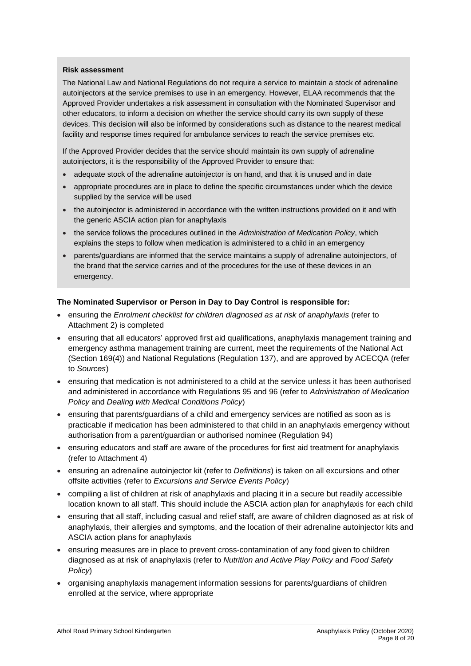#### **Risk assessment**

The National Law and National Regulations do not require a service to maintain a stock of adrenaline autoinjectors at the service premises to use in an emergency. However, ELAA recommends that the Approved Provider undertakes a risk assessment in consultation with the Nominated Supervisor and other educators, to inform a decision on whether the service should carry its own supply of these devices. This decision will also be informed by considerations such as distance to the nearest medical facility and response times required for ambulance services to reach the service premises etc.

If the Approved Provider decides that the service should maintain its own supply of adrenaline autoinjectors, it is the responsibility of the Approved Provider to ensure that:

- adequate stock of the adrenaline autoinjector is on hand, and that it is unused and in date
- appropriate procedures are in place to define the specific circumstances under which the device supplied by the service will be used
- the autoinjector is administered in accordance with the written instructions provided on it and with the generic ASCIA action plan for anaphylaxis
- the service follows the procedures outlined in the *Administration of Medication Policy*, which explains the steps to follow when medication is administered to a child in an emergency
- parents/guardians are informed that the service maintains a supply of adrenaline autoinjectors, of the brand that the service carries and of the procedures for the use of these devices in an emergency.

#### **The Nominated Supervisor or Person in Day to Day Control is responsible for:**

- ensuring the *Enrolment checklist for children diagnosed as at risk of anaphylaxis* (refer to Attachment 2) is completed
- ensuring that all educators' approved first aid qualifications, anaphylaxis management training and emergency asthma management training are current, meet the requirements of the National Act (Section 169(4)) and National Regulations (Regulation 137), and are approved by ACECQA (refer to *Sources*)
- ensuring that medication is not administered to a child at the service unless it has been authorised and administered in accordance with Regulations 95 and 96 (refer to *Administration of Medication Policy* and *Dealing with Medical Conditions Policy*)
- ensuring that parents/guardians of a child and emergency services are notified as soon as is practicable if medication has been administered to that child in an anaphylaxis emergency without authorisation from a parent/guardian or authorised nominee (Regulation 94)
- ensuring educators and staff are aware of the procedures for first aid treatment for anaphylaxis (refer to Attachment 4)
- ensuring an adrenaline autoinjector kit (refer to *Definitions*) is taken on all excursions and other offsite activities (refer to *Excursions and Service Events Policy*)
- compiling a list of children at risk of anaphylaxis and placing it in a secure but readily accessible location known to all staff. This should include the ASCIA action plan for anaphylaxis for each child
- ensuring that all staff, including casual and relief staff, are aware of children diagnosed as at risk of anaphylaxis, their allergies and symptoms, and the location of their adrenaline autoinjector kits and ASCIA action plans for anaphylaxis
- ensuring measures are in place to prevent cross-contamination of any food given to children diagnosed as at risk of anaphylaxis (refer to *Nutrition and Active Play Policy* and *Food Safety Policy*)
- organising anaphylaxis management information sessions for parents/guardians of children enrolled at the service, where appropriate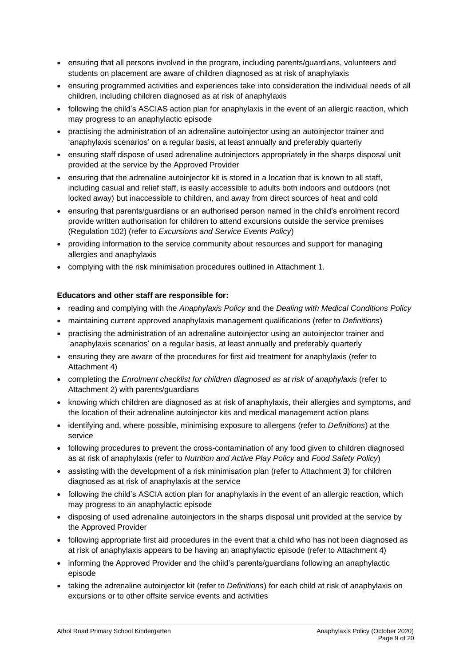- ensuring that all persons involved in the program, including parents/guardians, volunteers and students on placement are aware of children diagnosed as at risk of anaphylaxis
- ensuring programmed activities and experiences take into consideration the individual needs of all children, including children diagnosed as at risk of anaphylaxis
- following the child's ASCIAS action plan for anaphylaxis in the event of an allergic reaction, which may progress to an anaphylactic episode
- practising the administration of an adrenaline autoinjector using an autoinjector trainer and 'anaphylaxis scenarios' on a regular basis, at least annually and preferably quarterly
- ensuring staff dispose of used adrenaline autoinjectors appropriately in the sharps disposal unit provided at the service by the Approved Provider
- ensuring that the adrenaline autoinjector kit is stored in a location that is known to all staff, including casual and relief staff, is easily accessible to adults both indoors and outdoors (not locked away) but inaccessible to children, and away from direct sources of heat and cold
- ensuring that parents/guardians or an authorised person named in the child's enrolment record provide written authorisation for children to attend excursions outside the service premises (Regulation 102) (refer to *Excursions and Service Events Policy*)
- providing information to the service community about resources and support for managing allergies and anaphylaxis
- complying with the risk minimisation procedures outlined in Attachment 1.

#### **Educators and other staff are responsible for:**

- reading and complying with the *Anaphylaxis Policy* and the *Dealing with Medical Conditions Policy*
- maintaining current approved anaphylaxis management qualifications (refer to *Definitions*)
- practising the administration of an adrenaline autoinjector using an autoinjector trainer and 'anaphylaxis scenarios' on a regular basis, at least annually and preferably quarterly
- ensuring they are aware of the procedures for first aid treatment for anaphylaxis (refer to Attachment 4)
- completing the *Enrolment checklist for children diagnosed as at risk of anaphylaxis* (refer to Attachment 2) with parents/guardians
- knowing which children are diagnosed as at risk of anaphylaxis, their allergies and symptoms, and the location of their adrenaline autoinjector kits and medical management action plans
- identifying and, where possible, minimising exposure to allergens (refer to *Definitions*) at the service
- following procedures to prevent the cross-contamination of any food given to children diagnosed as at risk of anaphylaxis (refer to *Nutrition and Active Play Policy* and *Food Safety Policy*)
- assisting with the development of a risk minimisation plan (refer to Attachment 3) for children diagnosed as at risk of anaphylaxis at the service
- following the child's ASCIA action plan for anaphylaxis in the event of an allergic reaction, which may progress to an anaphylactic episode
- disposing of used adrenaline autoinjectors in the sharps disposal unit provided at the service by the Approved Provider
- following appropriate first aid procedures in the event that a child who has not been diagnosed as at risk of anaphylaxis appears to be having an anaphylactic episode (refer to Attachment 4)
- informing the Approved Provider and the child's parents/guardians following an anaphylactic episode
- taking the adrenaline autoinjector kit (refer to *Definitions*) for each child at risk of anaphylaxis on excursions or to other offsite service events and activities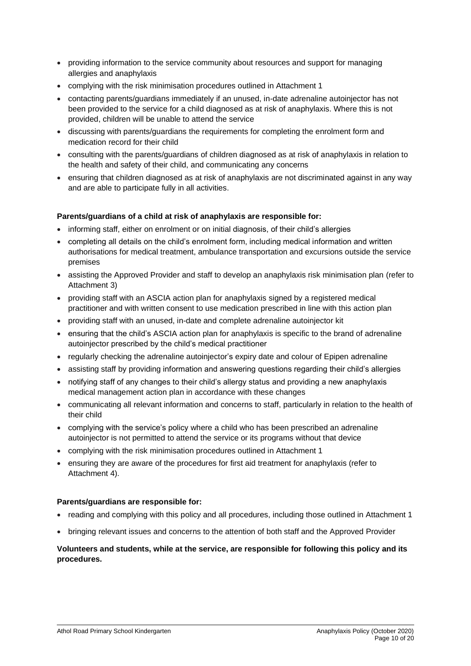- providing information to the service community about resources and support for managing allergies and anaphylaxis
- complying with the risk minimisation procedures outlined in Attachment 1
- contacting parents/guardians immediately if an unused, in-date adrenaline autoinjector has not been provided to the service for a child diagnosed as at risk of anaphylaxis. Where this is not provided, children will be unable to attend the service
- discussing with parents/guardians the requirements for completing the enrolment form and medication record for their child
- consulting with the parents/guardians of children diagnosed as at risk of anaphylaxis in relation to the health and safety of their child, and communicating any concerns
- ensuring that children diagnosed as at risk of anaphylaxis are not discriminated against in any way and are able to participate fully in all activities.

#### **Parents/guardians of a child at risk of anaphylaxis are responsible for:**

- informing staff, either on enrolment or on initial diagnosis, of their child's allergies
- completing all details on the child's enrolment form, including medical information and written authorisations for medical treatment, ambulance transportation and excursions outside the service premises
- assisting the Approved Provider and staff to develop an anaphylaxis risk minimisation plan (refer to Attachment 3)
- providing staff with an ASCIA action plan for anaphylaxis signed by a registered medical practitioner and with written consent to use medication prescribed in line with this action plan
- providing staff with an unused, in-date and complete adrenaline autoinjector kit
- ensuring that the child's ASCIA action plan for anaphylaxis is specific to the brand of adrenaline autoinjector prescribed by the child's medical practitioner
- regularly checking the adrenaline autoinjector's expiry date and colour of Epipen adrenaline
- assisting staff by providing information and answering questions regarding their child's allergies
- notifying staff of any changes to their child's allergy status and providing a new anaphylaxis medical management action plan in accordance with these changes
- communicating all relevant information and concerns to staff, particularly in relation to the health of their child
- complying with the service's policy where a child who has been prescribed an adrenaline autoinjector is not permitted to attend the service or its programs without that device
- complying with the risk minimisation procedures outlined in Attachment 1
- ensuring they are aware of the procedures for first aid treatment for anaphylaxis (refer to Attachment 4).

#### **Parents/guardians are responsible for:**

- reading and complying with this policy and all procedures, including those outlined in Attachment 1
- bringing relevant issues and concerns to the attention of both staff and the Approved Provider

#### **Volunteers and students, while at the service, are responsible for following this policy and its procedures.**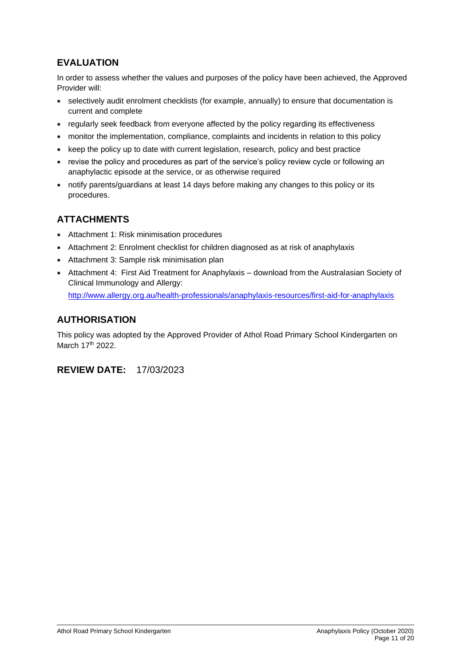# **EVALUATION**

In order to assess whether the values and purposes of the policy have been achieved, the Approved Provider will:

- selectively audit enrolment checklists (for example, annually) to ensure that documentation is current and complete
- regularly seek feedback from everyone affected by the policy regarding its effectiveness
- monitor the implementation, compliance, complaints and incidents in relation to this policy
- keep the policy up to date with current legislation, research, policy and best practice
- revise the policy and procedures as part of the service's policy review cycle or following an anaphylactic episode at the service, or as otherwise required
- notify parents/guardians at least 14 days before making any changes to this policy or its procedures.

### **ATTACHMENTS**

- Attachment 1: Risk minimisation procedures
- Attachment 2: Enrolment checklist for children diagnosed as at risk of anaphylaxis
- Attachment 3: Sample risk minimisation plan
- Attachment 4: First Aid Treatment for Anaphylaxis download from the Australasian Society of Clinical Immunology and Allergy: <http://www.allergy.org.au/health-professionals/anaphylaxis-resources/first-aid-for-anaphylaxis>

### **AUTHORISATION**

This policy was adopted by the Approved Provider of Athol Road Primary School Kindergarten on March 17<sup>th</sup> 2022.

**REVIEW DATE:** 17/03/2023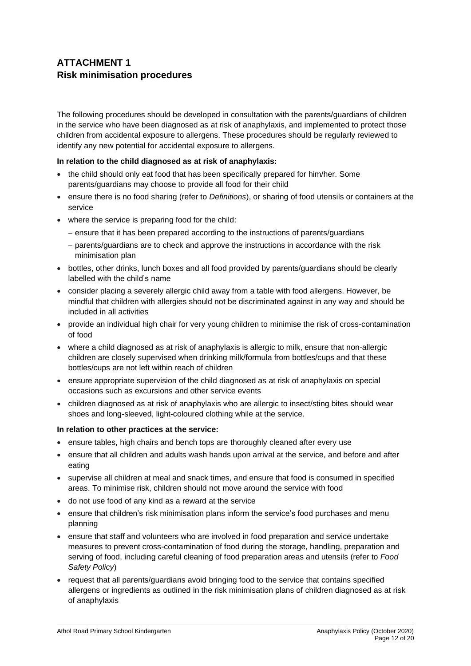## **ATTACHMENT 1 Risk minimisation procedures**

The following procedures should be developed in consultation with the parents/guardians of children in the service who have been diagnosed as at risk of anaphylaxis, and implemented to protect those children from accidental exposure to allergens. These procedures should be regularly reviewed to identify any new potential for accidental exposure to allergens.

#### **In relation to the child diagnosed as at risk of anaphylaxis:**

- the child should only eat food that has been specifically prepared for him/her. Some parents/guardians may choose to provide all food for their child
- ensure there is no food sharing (refer to *Definitions*), or sharing of food utensils or containers at the service
- where the service is preparing food for the child:
	- − ensure that it has been prepared according to the instructions of parents/guardians
	- − parents/guardians are to check and approve the instructions in accordance with the risk minimisation plan
- bottles, other drinks, lunch boxes and all food provided by parents/guardians should be clearly labelled with the child's name
- consider placing a severely allergic child away from a table with food allergens. However, be mindful that children with allergies should not be discriminated against in any way and should be included in all activities
- provide an individual high chair for very young children to minimise the risk of cross-contamination of food
- where a child diagnosed as at risk of anaphylaxis is allergic to milk, ensure that non-allergic children are closely supervised when drinking milk/formula from bottles/cups and that these bottles/cups are not left within reach of children
- ensure appropriate supervision of the child diagnosed as at risk of anaphylaxis on special occasions such as excursions and other service events
- children diagnosed as at risk of anaphylaxis who are allergic to insect/sting bites should wear shoes and long-sleeved, light-coloured clothing while at the service.

#### **In relation to other practices at the service:**

- ensure tables, high chairs and bench tops are thoroughly cleaned after every use
- ensure that all children and adults wash hands upon arrival at the service, and before and after eating
- supervise all children at meal and snack times, and ensure that food is consumed in specified areas. To minimise risk, children should not move around the service with food
- do not use food of any kind as a reward at the service
- ensure that children's risk minimisation plans inform the service's food purchases and menu planning
- ensure that staff and volunteers who are involved in food preparation and service undertake measures to prevent cross-contamination of food during the storage, handling, preparation and serving of food, including careful cleaning of food preparation areas and utensils (refer to *Food Safety Policy*)
- request that all parents/guardians avoid bringing food to the service that contains specified allergens or ingredients as outlined in the risk minimisation plans of children diagnosed as at risk of anaphylaxis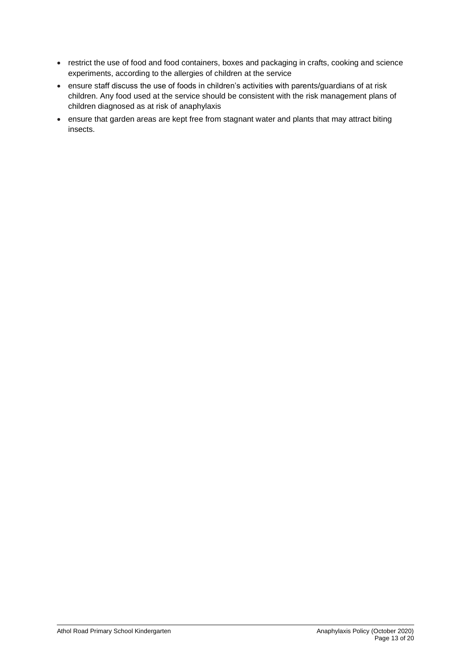- restrict the use of food and food containers, boxes and packaging in crafts, cooking and science experiments, according to the allergies of children at the service
- ensure staff discuss the use of foods in children's activities with parents/guardians of at risk children. Any food used at the service should be consistent with the risk management plans of children diagnosed as at risk of anaphylaxis
- ensure that garden areas are kept free from stagnant water and plants that may attract biting insects.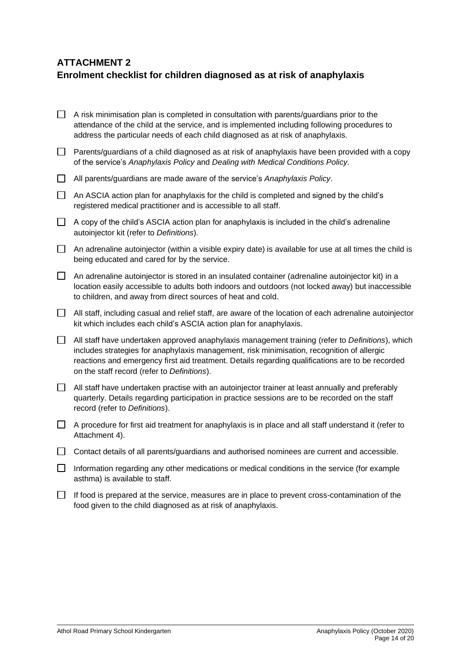# **ATTACHMENT 2 Enrolment checklist for children diagnosed as at risk of anaphylaxis**

| $\Box$ | A risk minimisation plan is completed in consultation with parents/guardians prior to the<br>attendance of the child at the service, and is implemented including following procedures to<br>address the particular needs of each child diagnosed as at risk of anaphylaxis.                                                                      |
|--------|---------------------------------------------------------------------------------------------------------------------------------------------------------------------------------------------------------------------------------------------------------------------------------------------------------------------------------------------------|
| $\Box$ | Parents/guardians of a child diagnosed as at risk of anaphylaxis have been provided with a copy<br>of the service's Anaphylaxis Policy and Dealing with Medical Conditions Policy.                                                                                                                                                                |
| $\Box$ | All parents/guardians are made aware of the service's Anaphylaxis Policy.                                                                                                                                                                                                                                                                         |
| □      | An ASCIA action plan for anaphylaxis for the child is completed and signed by the child's<br>registered medical practitioner and is accessible to all staff.                                                                                                                                                                                      |
| $\Box$ | A copy of the child's ASCIA action plan for anaphylaxis is included in the child's adrenaline<br>autoinjector kit (refer to Definitions).                                                                                                                                                                                                         |
| $\Box$ | An adrenaline autoinjector (within a visible expiry date) is available for use at all times the child is<br>being educated and cared for by the service.                                                                                                                                                                                          |
| $\Box$ | An adrenaline autoinjector is stored in an insulated container (adrenaline autoinjector kit) in a<br>location easily accessible to adults both indoors and outdoors (not locked away) but inaccessible<br>to children, and away from direct sources of heat and cold.                                                                             |
| $\Box$ | All staff, including casual and relief staff, are aware of the location of each adrenaline autoinjector<br>kit which includes each child's ASCIA action plan for anaphylaxis.                                                                                                                                                                     |
| $\Box$ | All staff have undertaken approved anaphylaxis management training (refer to Definitions), which<br>includes strategies for anaphylaxis management, risk minimisation, recognition of allergic<br>reactions and emergency first aid treatment. Details regarding qualifications are to be recorded<br>on the staff record (refer to Definitions). |
| $\Box$ | All staff have undertaken practise with an autoinjector trainer at least annually and preferably<br>quarterly. Details regarding participation in practice sessions are to be recorded on the staff<br>record (refer to Definitions).                                                                                                             |
| $\Box$ | A procedure for first aid treatment for anaphylaxis is in place and all staff understand it (refer to<br>Attachment 4).                                                                                                                                                                                                                           |
| $\Box$ | Contact details of all parents/guardians and authorised nominees are current and accessible.                                                                                                                                                                                                                                                      |
| $\Box$ | Information regarding any other medications or medical conditions in the service (for example<br>asthma) is available to staff.                                                                                                                                                                                                                   |
|        | If food is prepared at the service measures are in place to prevent cross-contamination of the                                                                                                                                                                                                                                                    |

 $\Box$  If food is prepared at the service, measures are in place to prevent cross-contamination of the food given to the child diagnosed as at risk of anaphylaxis.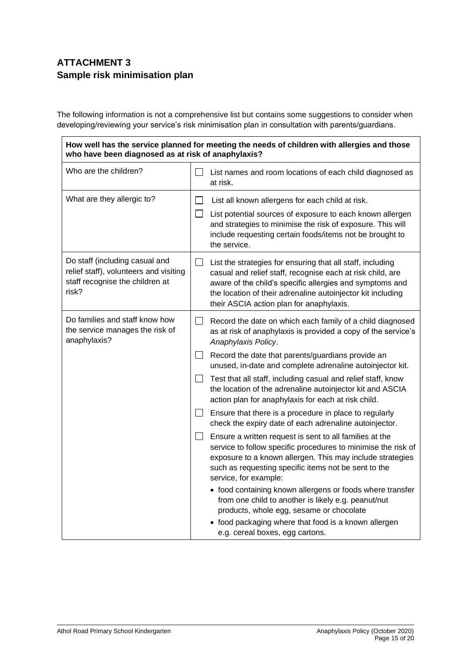## **ATTACHMENT 3 Sample risk minimisation plan**

The following information is not a comprehensive list but contains some suggestions to consider when developing/reviewing your service's risk minimisation plan in consultation with parents/guardians.

**How well has the service planned for meeting the needs of children with allergies and those who have been diagnosed as at risk of anaphylaxis?**

| Who are the children?                                                                                                |              | List names and room locations of each child diagnosed as<br>at risk.                                                                                                                                                                                                                            |
|----------------------------------------------------------------------------------------------------------------------|--------------|-------------------------------------------------------------------------------------------------------------------------------------------------------------------------------------------------------------------------------------------------------------------------------------------------|
| What are they allergic to?                                                                                           | Ш            | List all known allergens for each child at risk.<br>List potential sources of exposure to each known allergen<br>and strategies to minimise the risk of exposure. This will<br>include requesting certain foods/items not be brought to<br>the service.                                         |
| Do staff (including casual and<br>relief staff), volunteers and visiting<br>staff recognise the children at<br>risk? | ப            | List the strategies for ensuring that all staff, including<br>casual and relief staff, recognise each at risk child, are<br>aware of the child's specific allergies and symptoms and<br>the location of their adrenaline autoinjector kit including<br>their ASCIA action plan for anaphylaxis. |
| Do families and staff know how<br>the service manages the risk of<br>anaphylaxis?                                    | $\Box$       | Record the date on which each family of a child diagnosed<br>as at risk of anaphylaxis is provided a copy of the service's<br>Anaphylaxis Policy.                                                                                                                                               |
|                                                                                                                      | $\Box$       | Record the date that parents/guardians provide an<br>unused, in-date and complete adrenaline autoinjector kit.                                                                                                                                                                                  |
|                                                                                                                      | $\perp$      | Test that all staff, including casual and relief staff, know<br>the location of the adrenaline autoinjector kit and ASCIA<br>action plan for anaphylaxis for each at risk child.                                                                                                                |
|                                                                                                                      | $\mathsf{L}$ | Ensure that there is a procedure in place to regularly<br>check the expiry date of each adrenaline autoinjector.                                                                                                                                                                                |
|                                                                                                                      | $\perp$      | Ensure a written request is sent to all families at the<br>service to follow specific procedures to minimise the risk of<br>exposure to a known allergen. This may include strategies<br>such as requesting specific items not be sent to the<br>service, for example:                          |
|                                                                                                                      |              | • food containing known allergens or foods where transfer<br>from one child to another is likely e.g. peanut/nut<br>products, whole egg, sesame or chocolate                                                                                                                                    |
|                                                                                                                      |              | • food packaging where that food is a known allergen<br>e.g. cereal boxes, egg cartons.                                                                                                                                                                                                         |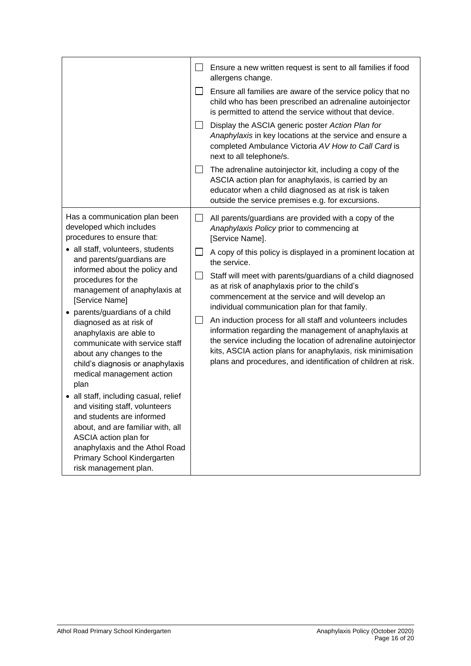|                                                                                                                                                                                                                                                                                                                                                                                                                                                                                                                                                                                                                                                                                                                                                                   | ⊔<br>$\Box$<br>$\mathsf{L}$<br>⊔ | Ensure a new written request is sent to all families if food<br>allergens change.<br>Ensure all families are aware of the service policy that no<br>child who has been prescribed an adrenaline autoinjector<br>is permitted to attend the service without that device.<br>Display the ASCIA generic poster Action Plan for<br>Anaphylaxis in key locations at the service and ensure a<br>completed Ambulance Victoria AV How to Call Card is<br>next to all telephone/s.<br>The adrenaline autoinjector kit, including a copy of the<br>ASCIA action plan for anaphylaxis, is carried by an<br>educator when a child diagnosed as at risk is taken<br>outside the service premises e.g. for excursions.                                             |
|-------------------------------------------------------------------------------------------------------------------------------------------------------------------------------------------------------------------------------------------------------------------------------------------------------------------------------------------------------------------------------------------------------------------------------------------------------------------------------------------------------------------------------------------------------------------------------------------------------------------------------------------------------------------------------------------------------------------------------------------------------------------|----------------------------------|-------------------------------------------------------------------------------------------------------------------------------------------------------------------------------------------------------------------------------------------------------------------------------------------------------------------------------------------------------------------------------------------------------------------------------------------------------------------------------------------------------------------------------------------------------------------------------------------------------------------------------------------------------------------------------------------------------------------------------------------------------|
| Has a communication plan been<br>developed which includes<br>procedures to ensure that:<br>• all staff, volunteers, students<br>and parents/guardians are<br>informed about the policy and<br>procedures for the<br>management of anaphylaxis at<br>[Service Name]<br>• parents/guardians of a child<br>diagnosed as at risk of<br>anaphylaxis are able to<br>communicate with service staff<br>about any changes to the<br>child's diagnosis or anaphylaxis<br>medical management action<br>plan<br>• all staff, including casual, relief<br>and visiting staff, volunteers<br>and students are informed<br>about, and are familiar with, all<br>ASCIA action plan for<br>anaphylaxis and the Athol Road<br>Primary School Kindergarten<br>risk management plan. | $\Box$<br>ப<br>$\Box$<br>$\Box$  | All parents/guardians are provided with a copy of the<br>Anaphylaxis Policy prior to commencing at<br>[Service Name].<br>A copy of this policy is displayed in a prominent location at<br>the service.<br>Staff will meet with parents/guardians of a child diagnosed<br>as at risk of anaphylaxis prior to the child's<br>commencement at the service and will develop an<br>individual communication plan for that family.<br>An induction process for all staff and volunteers includes<br>information regarding the management of anaphylaxis at<br>the service including the location of adrenaline autoinjector<br>kits, ASCIA action plans for anaphylaxis, risk minimisation<br>plans and procedures, and identification of children at risk. |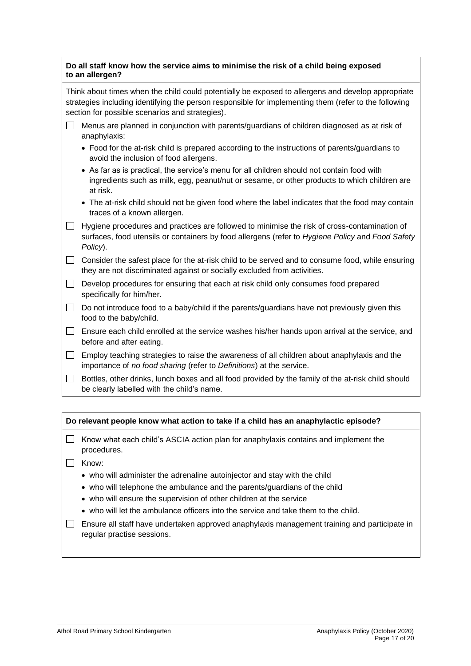| Do all staff know how the service aims to minimise the risk of a child being exposed<br>to an allergen? |                                                                                                                                                                                                                                                                |  |  |  |  |
|---------------------------------------------------------------------------------------------------------|----------------------------------------------------------------------------------------------------------------------------------------------------------------------------------------------------------------------------------------------------------------|--|--|--|--|
|                                                                                                         | Think about times when the child could potentially be exposed to allergens and develop appropriate<br>strategies including identifying the person responsible for implementing them (refer to the following<br>section for possible scenarios and strategies). |  |  |  |  |
|                                                                                                         | Menus are planned in conjunction with parents/guardians of children diagnosed as at risk of<br>anaphylaxis:                                                                                                                                                    |  |  |  |  |
|                                                                                                         | • Food for the at-risk child is prepared according to the instructions of parents/guardians to<br>avoid the inclusion of food allergens.                                                                                                                       |  |  |  |  |
|                                                                                                         | • As far as is practical, the service's menu for all children should not contain food with                                                                                                                                                                     |  |  |  |  |

- ingredients such as milk, egg, peanut/nut or sesame, or other products to which children are at risk.
- The at-risk child should not be given food where the label indicates that the food may contain traces of a known allergen.
- $\Box$  Hygiene procedures and practices are followed to minimise the risk of cross-contamination of surfaces, food utensils or containers by food allergens (refer to *Hygiene Policy* and *Food Safety Policy*).
- $\Box$  Consider the safest place for the at-risk child to be served and to consume food, while ensuring they are not discriminated against or socially excluded from activities.
- $\Box$  Develop procedures for ensuring that each at risk child only consumes food prepared specifically for him/her.
- $\Box$  Do not introduce food to a baby/child if the parents/guardians have not previously given this food to the baby/child.
- $\Box$  Ensure each child enrolled at the service washes his/her hands upon arrival at the service, and before and after eating.
- $\Box$  Employ teaching strategies to raise the awareness of all children about anaphylaxis and the importance of *no food sharing* (refer to *Definitions*) at the service.
- $\Box$  Bottles, other drinks, lunch boxes and all food provided by the family of the at-risk child should be clearly labelled with the child's name.

#### **Do relevant people know what action to take if a child has an anaphylactic episode?**

- $\Box$  Know what each child's ASCIA action plan for anaphylaxis contains and implement the procedures.
- $\Box$  Know:
	- who will administer the adrenaline autoinjector and stay with the child
	- who will telephone the ambulance and the parents/guardians of the child
	- who will ensure the supervision of other children at the service
	- who will let the ambulance officers into the service and take them to the child.
- $\Box$  Ensure all staff have undertaken approved anaphylaxis management training and participate in regular practise sessions.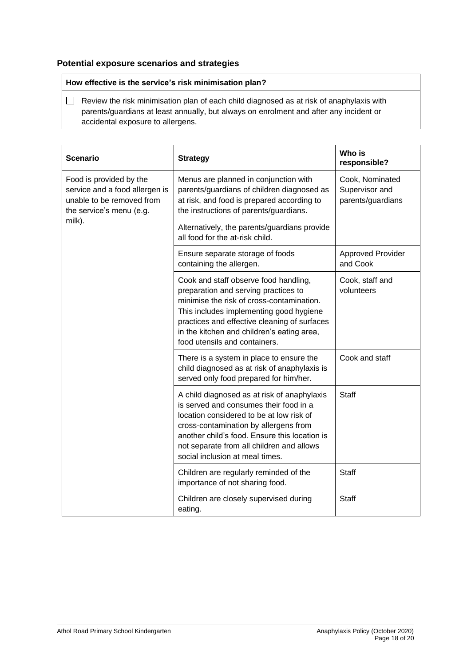#### **Potential exposure scenarios and strategies**

#### **How effective is the service's risk minimisation plan?**

 $\Box$  Review the risk minimisation plan of each child diagnosed as at risk of anaphylaxis with parents/guardians at least annually, but always on enrolment and after any incident or accidental exposure to allergens.

| <b>Scenario</b>                                                                                                              | <b>Strategy</b>                                                                                                                                                                                                                                                                                             | Who is<br>responsible?                                 |
|------------------------------------------------------------------------------------------------------------------------------|-------------------------------------------------------------------------------------------------------------------------------------------------------------------------------------------------------------------------------------------------------------------------------------------------------------|--------------------------------------------------------|
| Food is provided by the<br>service and a food allergen is<br>unable to be removed from<br>the service's menu (e.g.<br>milk). | Menus are planned in conjunction with<br>parents/guardians of children diagnosed as<br>at risk, and food is prepared according to<br>the instructions of parents/guardians.<br>Alternatively, the parents/guardians provide                                                                                 | Cook, Nominated<br>Supervisor and<br>parents/guardians |
|                                                                                                                              | all food for the at-risk child.                                                                                                                                                                                                                                                                             |                                                        |
|                                                                                                                              | Ensure separate storage of foods<br>containing the allergen.                                                                                                                                                                                                                                                | <b>Approved Provider</b><br>and Cook                   |
|                                                                                                                              | Cook and staff observe food handling,<br>preparation and serving practices to<br>minimise the risk of cross-contamination.<br>This includes implementing good hygiene<br>practices and effective cleaning of surfaces<br>in the kitchen and children's eating area,<br>food utensils and containers.        | Cook, staff and<br>volunteers                          |
|                                                                                                                              | There is a system in place to ensure the<br>child diagnosed as at risk of anaphylaxis is<br>served only food prepared for him/her.                                                                                                                                                                          | Cook and staff                                         |
|                                                                                                                              | A child diagnosed as at risk of anaphylaxis<br>is served and consumes their food in a<br>location considered to be at low risk of<br>cross-contamination by allergens from<br>another child's food. Ensure this location is<br>not separate from all children and allows<br>social inclusion at meal times. | <b>Staff</b>                                           |
|                                                                                                                              | Children are regularly reminded of the<br>importance of not sharing food.                                                                                                                                                                                                                                   | <b>Staff</b>                                           |
|                                                                                                                              | Children are closely supervised during<br>eating.                                                                                                                                                                                                                                                           | <b>Staff</b>                                           |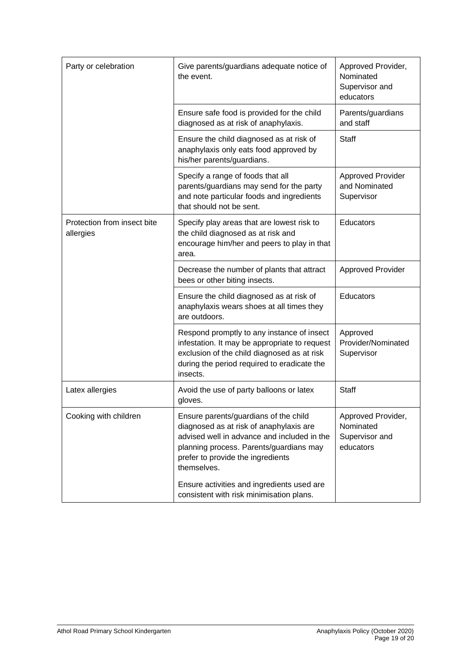| Party or celebration                     | Give parents/guardians adequate notice of<br>the event.                                                                                                                                                                                                                                                                  | Approved Provider,<br>Nominated<br>Supervisor and<br>educators |
|------------------------------------------|--------------------------------------------------------------------------------------------------------------------------------------------------------------------------------------------------------------------------------------------------------------------------------------------------------------------------|----------------------------------------------------------------|
|                                          | Ensure safe food is provided for the child<br>diagnosed as at risk of anaphylaxis.                                                                                                                                                                                                                                       | Parents/guardians<br>and staff                                 |
|                                          | Ensure the child diagnosed as at risk of<br>anaphylaxis only eats food approved by<br>his/her parents/guardians.                                                                                                                                                                                                         | <b>Staff</b>                                                   |
|                                          | Specify a range of foods that all<br>parents/guardians may send for the party<br>and note particular foods and ingredients<br>that should not be sent.                                                                                                                                                                   | <b>Approved Provider</b><br>and Nominated<br>Supervisor        |
| Protection from insect bite<br>allergies | Specify play areas that are lowest risk to<br>the child diagnosed as at risk and<br>encourage him/her and peers to play in that<br>area.                                                                                                                                                                                 | Educators                                                      |
|                                          | Decrease the number of plants that attract<br>bees or other biting insects.                                                                                                                                                                                                                                              | <b>Approved Provider</b>                                       |
|                                          | Ensure the child diagnosed as at risk of<br>anaphylaxis wears shoes at all times they<br>are outdoors.                                                                                                                                                                                                                   | Educators                                                      |
|                                          | Respond promptly to any instance of insect<br>infestation. It may be appropriate to request<br>exclusion of the child diagnosed as at risk<br>during the period required to eradicate the<br>insects.                                                                                                                    | Approved<br>Provider/Nominated<br>Supervisor                   |
| Latex allergies                          | Avoid the use of party balloons or latex<br>gloves.                                                                                                                                                                                                                                                                      | <b>Staff</b>                                                   |
| Cooking with children                    | Ensure parents/guardians of the child<br>diagnosed as at risk of anaphylaxis are<br>advised well in advance and included in the<br>planning process. Parents/guardians may<br>prefer to provide the ingredients<br>themselves.<br>Ensure activities and ingredients used are<br>consistent with risk minimisation plans. | Approved Provider,<br>Nominated<br>Supervisor and<br>educators |